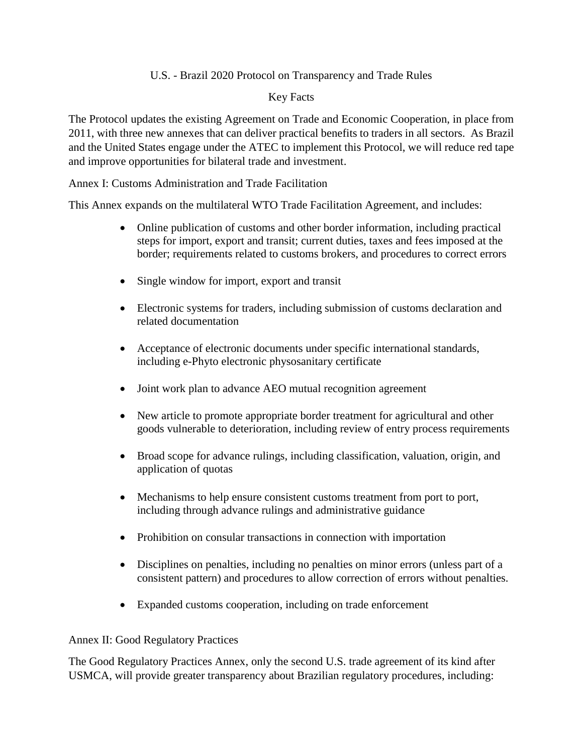# U.S. - Brazil 2020 Protocol on Transparency and Trade Rules

### Key Facts

The Protocol updates the existing Agreement on Trade and Economic Cooperation, in place from 2011, with three new annexes that can deliver practical benefits to traders in all sectors. As Brazil and the United States engage under the ATEC to implement this Protocol, we will reduce red tape and improve opportunities for bilateral trade and investment.

## Annex I: Customs Administration and Trade Facilitation

This Annex expands on the multilateral WTO Trade Facilitation Agreement, and includes:

- Online publication of customs and other border information, including practical steps for import, export and transit; current duties, taxes and fees imposed at the border; requirements related to customs brokers, and procedures to correct errors
- Single window for import, export and transit
- Electronic systems for traders, including submission of customs declaration and related documentation
- Acceptance of electronic documents under specific international standards, including e-Phyto electronic physosanitary certificate
- Joint work plan to advance AEO mutual recognition agreement
- New article to promote appropriate border treatment for agricultural and other goods vulnerable to deterioration, including review of entry process requirements
- Broad scope for advance rulings, including classification, valuation, origin, and application of quotas
- Mechanisms to help ensure consistent customs treatment from port to port, including through advance rulings and administrative guidance
- Prohibition on consular transactions in connection with importation
- Disciplines on penalties, including no penalties on minor errors (unless part of a consistent pattern) and procedures to allow correction of errors without penalties.
- Expanded customs cooperation, including on trade enforcement

## Annex II: Good Regulatory Practices

The Good Regulatory Practices Annex, only the second U.S. trade agreement of its kind after USMCA, will provide greater transparency about Brazilian regulatory procedures, including: